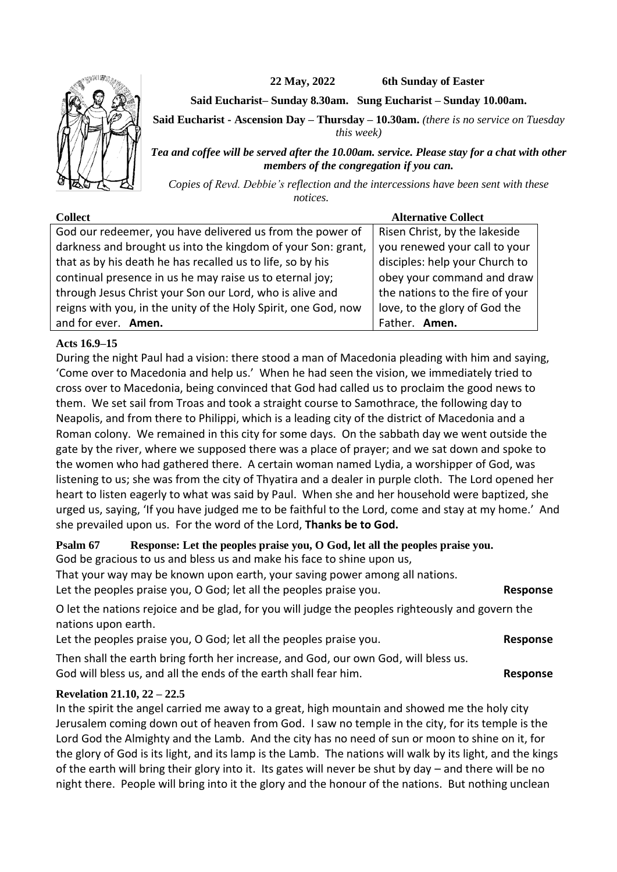

**22 May, 2022 6th Sunday of Easter**

**Said Eucharist– Sunday 8.30am. Sung Eucharist – Sunday 10.00am.**

**Said Eucharist - Ascension Day – Thursday – 10.30am.** *(there is no service on Tuesday this week)*

*Tea and coffee will be served after the 10.00am. service. Please stay for a chat with other members of the congregation if you can.*

*Copies of Revd. Debbie's reflection and the intercessions have been sent with these notices.*

| <b>Collect</b>                                                 | <b>Alternative Collect</b>      |
|----------------------------------------------------------------|---------------------------------|
| God our redeemer, you have delivered us from the power of      | Risen Christ, by the lakeside   |
| darkness and brought us into the kingdom of your Son: grant,   | you renewed your call to your   |
| that as by his death he has recalled us to life, so by his     | disciples: help your Church to  |
| continual presence in us he may raise us to eternal joy;       | obey your command and draw      |
| through Jesus Christ your Son our Lord, who is alive and       | the nations to the fire of your |
| reigns with you, in the unity of the Holy Spirit, one God, now | love, to the glory of God the   |
| and for ever. Amen.                                            | Father. Amen.                   |

### **Acts 16.9–15**

During the night Paul had a vision: there stood a man of Macedonia pleading with him and saying, 'Come over to Macedonia and help us.' When he had seen the vision, we immediately tried to cross over to Macedonia, being convinced that God had called us to proclaim the good news to them. We set sail from Troas and took a straight course to Samothrace, the following day to Neapolis, and from there to Philippi, which is a leading city of the district of Macedonia and a Roman colony. We remained in this city for some days. On the sabbath day we went outside the gate by the river, where we supposed there was a place of prayer; and we sat down and spoke to the women who had gathered there. A certain woman named Lydia, a worshipper of God, was listening to us; she was from the city of Thyatira and a dealer in purple cloth. The Lord opened her heart to listen eagerly to what was said by Paul. When she and her household were baptized, she urged us, saying, 'If you have judged me to be faithful to the Lord, come and stay at my home.' And she prevailed upon us.For the word of the Lord, **Thanks be to God.**

#### **Psalm 67 Response: Let the peoples praise you, O God, let all the peoples praise you.**

God be gracious to us and bless us and make his face to shine upon us,

That your way may be known upon earth, your saving power among all nations.

Let the peoples praise you, O God; let all the peoples praise you. **Response**

O let the nations rejoice and be glad, for you will judge the peoples righteously and govern the nations upon earth.

Let the peoples praise you, O God; let all the peoples praise you. **Response** 

Then shall the earth bring forth her increase, and God, our own God, will bless us. God will bless us, and all the ends of the earth shall fear him. **Response** 

#### **Revelation 21.10, 22 – 22.5**

In the spirit the angel carried me away to a great, high mountain and showed me the holy city Jerusalem coming down out of heaven from God. I saw no temple in the city, for its temple is the Lord God the Almighty and the Lamb. And the city has no need of sun or moon to shine on it, for the glory of God is its light, and its lamp is the Lamb. The nations will walk by its light, and the kings of the earth will bring their glory into it. Its gates will never be shut by day – and there will be no night there. People will bring into it the glory and the honour of the nations. But nothing unclean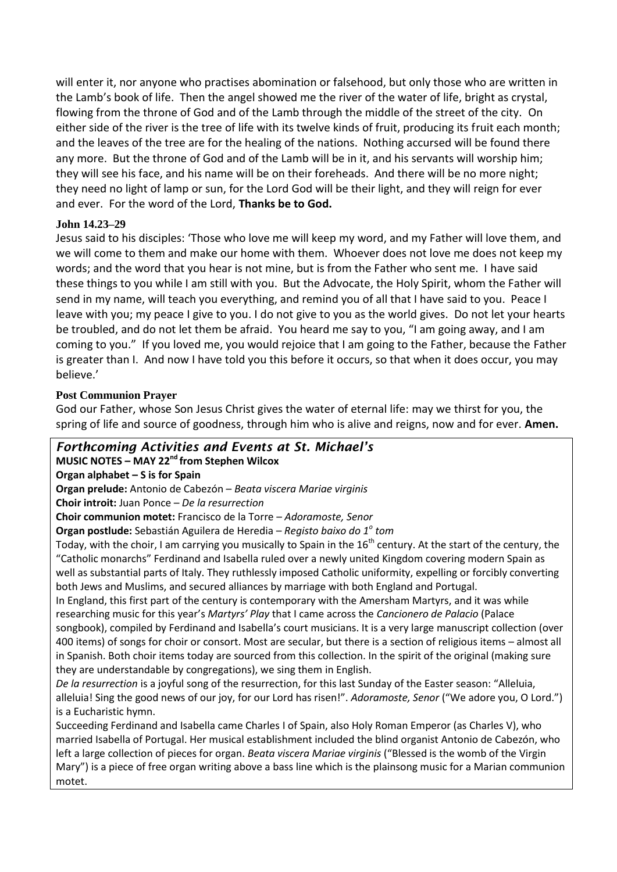will enter it, nor anyone who practises abomination or falsehood, but only those who are written in the Lamb's book of life. Then the angel showed me the river of the water of life, bright as crystal, flowing from the throne of God and of the Lamb through the middle of the street of the city. On either side of the river is the tree of life with its twelve kinds of fruit, producing its fruit each month; and the leaves of the tree are for the healing of the nations. Nothing accursed will be found there any more. But the throne of God and of the Lamb will be in it, and his servants will worship him; they will see his face, and his name will be on their foreheads. And there will be no more night; they need no light of lamp or sun, for the Lord God will be their light, and they will reign for ever and ever.For the word of the Lord, **Thanks be to God.**

# **John 14.23–29**

Jesus said to his disciples: 'Those who love me will keep my word, and my Father will love them, and we will come to them and make our home with them. Whoever does not love me does not keep my words; and the word that you hear is not mine, but is from the Father who sent me. I have said these things to you while I am still with you. But the Advocate, the Holy Spirit, whom the Father will send in my name, will teach you everything, and remind you of all that I have said to you. Peace I leave with you; my peace I give to you. I do not give to you as the world gives. Do not let your hearts be troubled, and do not let them be afraid. You heard me say to you, "I am going away, and I am coming to you." If you loved me, you would rejoice that I am going to the Father, because the Father is greater than I. And now I have told you this before it occurs, so that when it does occur, you may believe.'

# **Post Communion Prayer**

God our Father, whose Son Jesus Christ gives the water of eternal life: may we thirst for you, the spring of life and source of goodness, through him who is alive and reigns, now and for ever. **Amen.**

# *Forthcoming Activities and Events at St. Michael's*

# **MUSIC NOTES – MAY 22nd from Stephen Wilcox**

**Organ alphabet – S is for Spain**

**Organ prelude:** Antonio de Cabezón – *Beata viscera Mariae virginis*

**Choir introit:** Juan Ponce – *De la resurrection*

**Choir communion motet:** Francisco de la Torre – *Adoramoste, Senor*

**Organ postlude:** Sebastián Aguilera de Heredia – *Registo baixo do 1<sup>o</sup> tom*

Today, with the choir, I am carrying you musically to Spain in the 16<sup>th</sup> century. At the start of the century, the "Catholic monarchs" Ferdinand and Isabella ruled over a newly united Kingdom covering modern Spain as well as substantial parts of Italy. They ruthlessly imposed Catholic uniformity, expelling or forcibly converting both Jews and Muslims, and secured alliances by marriage with both England and Portugal.

In England, this first part of the century is contemporary with the Amersham Martyrs, and it was while researching music for this year's *Martyrs' Play* that I came across the *Cancionero de Palacio* (Palace songbook), compiled by Ferdinand and Isabella's court musicians. It is a very large manuscript collection (over 400 items) of songs for choir or consort. Most are secular, but there is a section of religious items – almost all in Spanish. Both choir items today are sourced from this collection. In the spirit of the original (making sure they are understandable by congregations), we sing them in English.

*De la resurrection* is a joyful song of the resurrection, for this last Sunday of the Easter season: "Alleluia, alleluia! Sing the good news of our joy, for our Lord has risen!". *Adoramoste, Senor* ("We adore you, O Lord.") is a Eucharistic hymn.

Succeeding Ferdinand and Isabella came Charles I of Spain, also Holy Roman Emperor (as Charles V), who married Isabella of Portugal. Her musical establishment included the blind organist Antonio de Cabezón, who left a large collection of pieces for organ. *Beata viscera Mariae virginis* ("Blessed is the womb of the Virgin Mary") is a piece of free organ writing above a bass line which is the plainsong music for a Marian communion motet.